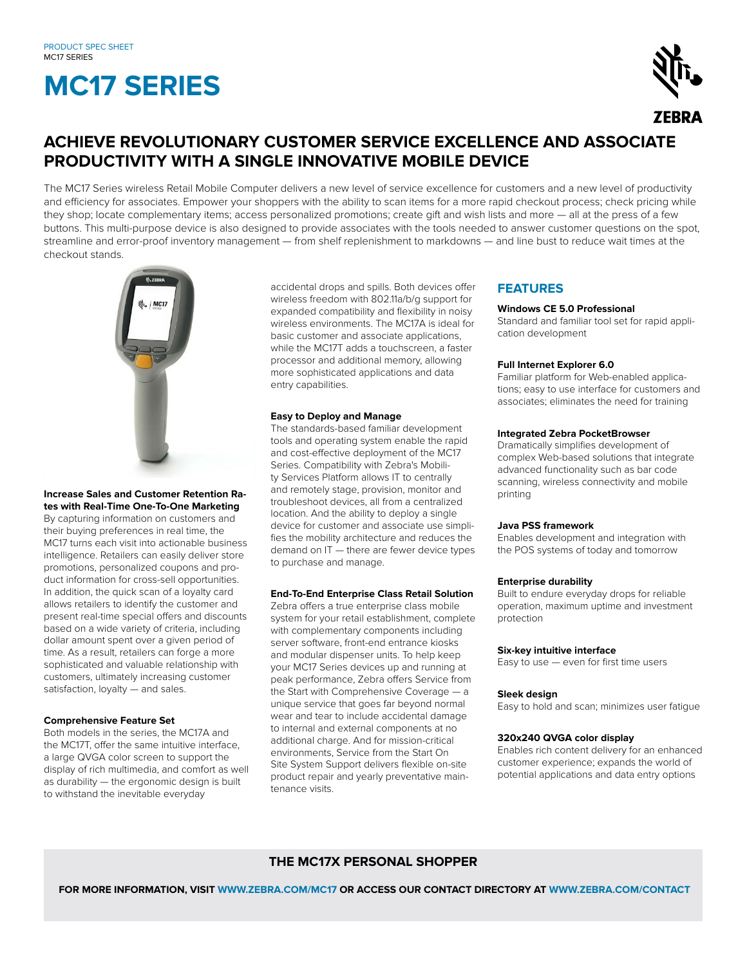# **MC17 SERIES**



### **ACHIEVE REVOLUTIONARY CUSTOMER SERVICE EXCELLENCE AND ASSOCIATE PRODUCTIVITY WITH A SINGLE INNOVATIVE MOBILE DEVICE**

The MC17 Series wireless Retail Mobile Computer delivers a new level of service excellence for customers and a new level of productivity and efficiency for associates. Empower your shoppers with the ability to scan items for a more rapid checkout process; check pricing while they shop; locate complementary items; access personalized promotions; create gift and wish lists and more — all at the press of a few buttons. This multi-purpose device is also designed to provide associates with the tools needed to answer customer questions on the spot, streamline and error-proof inventory management — from shelf replenishment to markdowns — and line bust to reduce wait times at the checkout stands.



#### **Increase Sales and Customer Retention Rates with Real-Time One-To-One Marketing**

By capturing information on customers and their buying preferences in real time, the MC17 turns each visit into actionable business intelligence. Retailers can easily deliver store promotions, personalized coupons and product information for cross-sell opportunities. In addition, the quick scan of a loyalty card allows retailers to identify the customer and present real-time special offers and discounts based on a wide variety of criteria, including dollar amount spent over a given period of time. As a result, retailers can forge a more sophisticated and valuable relationship with customers, ultimately increasing customer satisfaction, loyalty — and sales.

#### **Comprehensive Feature Set**

Both models in the series, the MC17A and the MC17T, offer the same intuitive interface, a large QVGA color screen to support the display of rich multimedia, and comfort as well as durability — the ergonomic design is built to withstand the inevitable everyday

accidental drops and spills. Both devices offer wireless freedom with 802.11a/b/g support for expanded compatibility and flexibility in noisy wireless environments. The MC17A is ideal for basic customer and associate applications, while the MC17T adds a touchscreen, a faster processor and additional memory, allowing more sophisticated applications and data entry capabilities.

#### **Easy to Deploy and Manage**

The standards-based familiar development tools and operating system enable the rapid and cost-effective deployment of the MC17 Series. Compatibility with Zebra's Mobility Services Platform allows IT to centrally and remotely stage, provision, monitor and troubleshoot devices, all from a centralized location. And the ability to deploy a single device for customer and associate use simplifies the mobility architecture and reduces the demand on IT — there are fewer device types to purchase and manage.

#### **End-To-End Enterprise Class Retail Solution**

Zebra offers a true enterprise class mobile system for your retail establishment, complete with complementary components including server software, front-end entrance kiosks and modular dispenser units. To help keep your MC17 Series devices up and running at peak performance, Zebra offers Service from the Start with Comprehensive Coverage — a unique service that goes far beyond normal wear and tear to include accidental damage to internal and external components at no additional charge. And for mission-critical environments, Service from the Start On Site System Support delivers flexible on-site product repair and yearly preventative maintenance visits.

#### **FEATURES**

#### **Windows CE 5.0 Professional**

Standard and familiar tool set for rapid application development

#### **Full Internet Explorer 6.0**

Familiar platform for Web-enabled applications; easy to use interface for customers and associates; eliminates the need for training

#### **Integrated Zebra PocketBrowser**

Dramatically simplifies development of complex Web-based solutions that integrate advanced functionality such as bar code scanning, wireless connectivity and mobile printing

#### **Java PSS framework**

Enables development and integration with the POS systems of today and tomorrow

#### **Enterprise durability**

Built to endure everyday drops for reliable operation, maximum uptime and investment protection

#### **Six-key intuitive interface**

Easy to use — even for first time users

#### **Sleek design**

Easy to hold and scan; minimizes user fatigue

#### **320x240 QVGA color display**

Enables rich content delivery for an enhanced customer experience; expands the world of potential applications and data entry options

#### **THE MC17X PERSONAL SHOPPER**

 **FOR MORE INFORMATION, VISIT WWW.ZEBRA.COM/MC17 OR ACCESS OUR CONTACT DIRECTORY AT WWW.ZEBRA.COM/CONTACT**